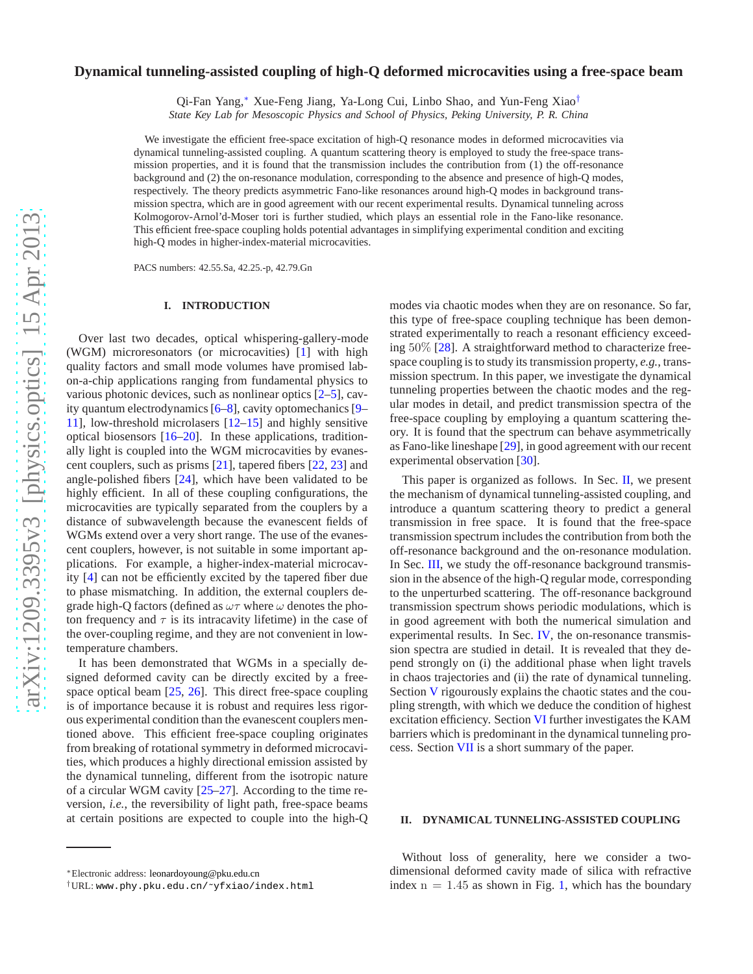# **Dynamical tunneling-assisted coupling of high-Q deformed microcavities using a free-space beam**

Qi-Fan Yang,[∗](#page-0-0) Xue-Feng Jiang, Ya-Long Cui, Linbo Shao, and Yun-Feng Xiao[†](#page-0-1)

*State Key Lab for Mesoscopic Physics and School of Physics, Peking University, P. R. China*

We investigate the efficient free-space excitation of high-Q resonance modes in deformed microcavities via dynamical tunneling-assisted coupling. A quantum scattering theory is employed to study the free-space transmission properties, and it is found that the transmission includes the contribution from (1) the off-resonance background and (2) the on-resonance modulation, corresponding to the absence and presence of high-Q modes, respectively. The theory predicts asymmetric Fano-like resonances around high-Q modes in background transmission spectra, which are in good agreement with our recent experimental results. Dynamical tunneling across Kolmogorov-Arnol'd-Moser tori is further studied, which plays an essential role in the Fano-like resonance. This efficient free-space coupling holds potential advantages in simplifying experimental condition and exciting high-Q modes in higher-index-material microcavities.

PACS numbers: 42.55.Sa, 42.25.-p, 42.79.Gn

### **I. INTRODUCTION**

Over last two decades, optical whispering-gallery-mode (WGM) microresonators (or microcavities) [\[1](#page-6-0)] with high quality factors and small mode volumes have promised labon-a-chip applications ranging from fundamental physics to various photonic devices, such as nonlinear optics [\[2](#page-6-1)[–5\]](#page-6-2), cavity quantum electrodynamics [\[6](#page-6-3)[–8\]](#page-6-4), cavity optomechanics [\[9](#page-6-5)– [11\]](#page-6-6), low-threshold microlasers [\[12–](#page-6-7)[15\]](#page-6-8) and highly sensitive optical biosensors  $[16–20]$  $[16–20]$ . In these applications, traditionally light is coupled into the WGM microcavities by evanescent couplers, such as prisms [\[21\]](#page-6-11), tapered fibers [\[22,](#page-6-12) [23\]](#page-6-13) and angle-polished fibers [\[24\]](#page-6-14), which have been validated to be highly efficient. In all of these coupling configurations, the microcavities are typically separated from the couplers by a distance of subwavelength because the evanescent fields of WGMs extend over a very short range. The use of the evanescent couplers, however, is not suitable in some important applications. For example, a higher-index-material microcavity [\[4\]](#page-6-15) can not be efficiently excited by the tapered fiber due to phase mismatching. In addition, the external couplers degrade high-Q factors (defined as  $\omega\tau$  where  $\omega$  denotes the photon frequency and  $\tau$  is its intracavity lifetime) in the case of the over-coupling regime, and they are not convenient in lowtemperature chambers.

It has been demonstrated that WGMs in a specially designed deformed cavity can be directly excited by a freespace optical beam [\[25](#page-6-16), [26\]](#page-6-17). This direct free-space coupling is of importance because it is robust and requires less rigorous experimental condition than the evanescent couplers mentioned above. This efficient free-space coupling originates from breaking of rotational symmetry in deformed microcavities, which produces a highly directional emission assisted by the dynamical tunneling, different from the isotropic nature of a circular WGM cavity [\[25](#page-6-16)[–27](#page-6-18)]. According to the time reversion, *i.e.*, the reversibility of light path, free-space beams at certain positions are expected to couple into the high-Q modes via chaotic modes when they are on resonance. So far, this type of free-space coupling technique has been demonstrated experimentally to reach a resonant efficiency exceeding 50% [\[28\]](#page-6-19). A straightforward method to characterize freespace coupling is to study its transmission property, *e.g.*, transmission spectrum. In this paper, we investigate the dynamical tunneling properties between the chaotic modes and the regular modes in detail, and predict transmission spectra of the free-space coupling by employing a quantum scattering theory. It is found that the spectrum can behave asymmetrically as Fano-like lineshape [\[29](#page-6-20)], in good agreement with our recent experimental observation [\[30\]](#page-6-21).

This paper is organized as follows. In Sec. [II,](#page-0-2) we present the mechanism of dynamical tunneling-assisted coupling, and introduce a quantum scattering theory to predict a general transmission in free space. It is found that the free-space transmission spectrum includes the contribution from both the off-resonance background and the on-resonance modulation. In Sec. [III,](#page-3-0) we study the off-resonance background transmission in the absence of the high-Q regular mode, corresponding to the unperturbed scattering. The off-resonance background transmission spectrum shows periodic modulations, which is in good agreement with both the numerical simulation and experimental results. In Sec. [IV,](#page-3-1) the on-resonance transmission spectra are studied in detail. It is revealed that they depend strongly on (i) the additional phase when light travels in chaos trajectories and (ii) the rate of dynamical tunneling. Section [V](#page-4-0) rigourously explains the chaotic states and the coupling strength, with which we deduce the condition of highest excitation efficiency. Section [VI](#page-5-0) further investigates the KAM barriers which is predominant in the dynamical tunneling process. Section [VII](#page-6-22) is a short summary of the paper.

### <span id="page-0-2"></span>**II. DYNAMICAL TUNNELING-ASSISTED COUPLING**

Without loss of generality, here we consider a twodimensional deformed cavity made of silica with refractive index  $n = 1.45$  as shown in Fig. [1,](#page-1-0) which has the boundary

<span id="page-0-0"></span><sup>∗</sup>Electronic address: [leonardoyoung@pku.edu.cn](mailto:leonardoyoung@pku.edu.cn)

<span id="page-0-1"></span><sup>†</sup>URL: [www.phy.pku.edu.cn/˜yfxiao/index.html](www.phy.pku.edu.cn/~yfxiao/index.html)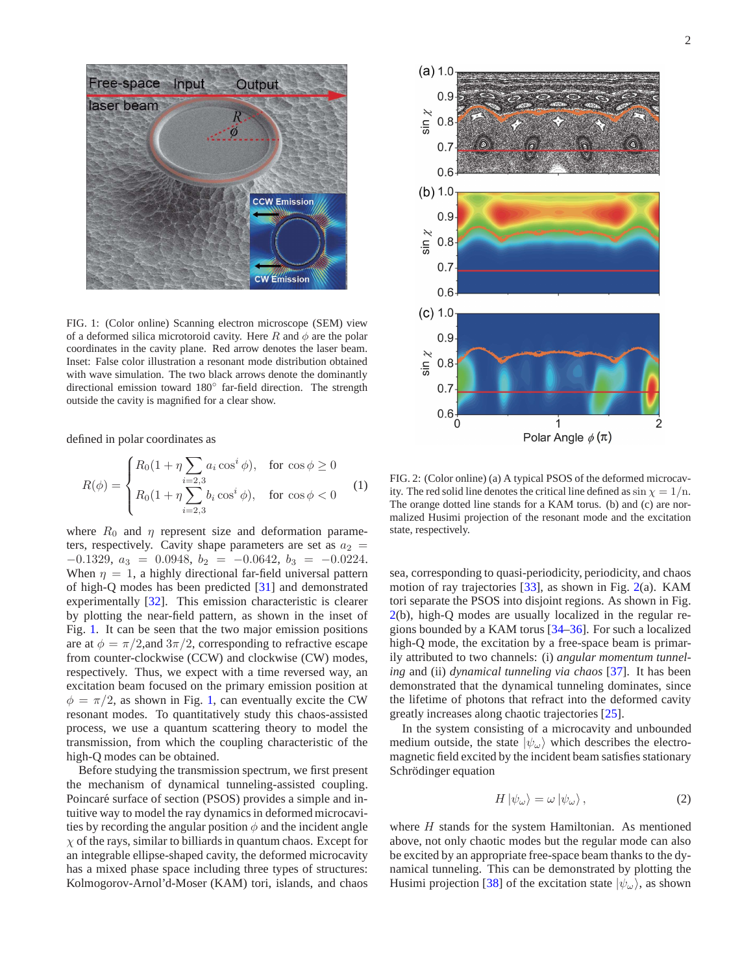

<span id="page-1-0"></span>FIG. 1: (Color online) Scanning electron microscope (SEM) view of a deformed silica microtoroid cavity. Here R and  $\phi$  are the polar coordinates in the cavity plane. Red arrow denotes the laser beam. Inset: False color illustration a resonant mode distribution obtained with wave simulation. The two black arrows denote the dominantly directional emission toward 180◦ far-field direction. The strength outside the cavity is magnified for a clear show.

defined in polar coordinates as

$$
R(\phi) = \begin{cases} R_0(1 + \eta \sum_{i=2,3} a_i \cos^i \phi), & \text{for } \cos \phi \ge 0\\ R_0(1 + \eta \sum_{i=2,3} b_i \cos^i \phi), & \text{for } \cos \phi < 0 \end{cases}
$$
 (1)

where  $R_0$  and  $\eta$  represent size and deformation parameters, respectively. Cavity shape parameters are set as  $a_2 =$  $-0.1329, a_3 = 0.0948, b_2 = -0.0642, b_3 = -0.0224.$ When  $\eta = 1$ , a highly directional far-field universal pattern of high-Q modes has been predicted [\[31\]](#page-6-23) and demonstrated experimentally [\[32\]](#page-6-24). This emission characteristic is clearer by plotting the near-field pattern, as shown in the inset of Fig. [1.](#page-1-0) It can be seen that the two major emission positions are at  $\phi = \pi/2$ , and  $3\pi/2$ , corresponding to refractive escape from counter-clockwise (CCW) and clockwise (CW) modes, respectively. Thus, we expect with a time reversed way, an excitation beam focused on the primary emission position at  $\phi = \pi/2$ , as shown in Fig. [1,](#page-1-0) can eventually excite the CW resonant modes. To quantitatively study this chaos-assisted process, we use a quantum scattering theory to model the transmission, from which the coupling characteristic of the high-Q modes can be obtained.

Before studying the transmission spectrum, we first present the mechanism of dynamical tunneling-assisted coupling. Poincaré surface of section (PSOS) provides a simple and intuitive way to model the ray dynamics in deformed microcavities by recording the angular position  $\phi$  and the incident angle  $\chi$  of the rays, similar to billiards in quantum chaos. Except for an integrable ellipse-shaped cavity, the deformed microcavity has a mixed phase space including three types of structures: Kolmogorov-Arnol'd-Moser (KAM) tori, islands, and chaos



<span id="page-1-1"></span>FIG. 2: (Color online) (a) A typical PSOS of the deformed microcavity. The red solid line denotes the critical line defined as  $\sin \chi = 1/n$ . The orange dotted line stands for a KAM torus. (b) and (c) are normalized Husimi projection of the resonant mode and the excitation state, respectively.

sea, corresponding to quasi-periodicity, periodicity, and chaos motion of ray trajectories [\[33](#page-6-25)], as shown in Fig. [2\(](#page-1-1)a). KAM tori separate the PSOS into disjoint regions. As shown in Fig. [2\(](#page-1-1)b), high-Q modes are usually localized in the regular regions bounded by a KAM torus [\[34](#page-6-26)[–36\]](#page-6-27). For such a localized high-Q mode, the excitation by a free-space beam is primarily attributed to two channels: (i) *angular momentum tunneling* and (ii) *dynamical tunneling via chaos* [\[37\]](#page-6-28). It has been demonstrated that the dynamical tunneling dominates, since the lifetime of photons that refract into the deformed cavity greatly increases along chaotic trajectories [\[25](#page-6-16)].

In the system consisting of a microcavity and unbounded medium outside, the state  $|\psi_{\omega}\rangle$  which describes the electromagnetic field excited by the incident beam satisfies stationary Schrödinger equation

<span id="page-1-2"></span>
$$
H \left| \psi_{\omega} \right\rangle = \omega \left| \psi_{\omega} \right\rangle, \tag{2}
$$

where  $H$  stands for the system Hamiltonian. As mentioned above, not only chaotic modes but the regular mode can also be excited by an appropriate free-space beam thanks to the dynamical tunneling. This can be demonstrated by plotting the Husimi projection [\[38\]](#page-6-29) of the excitation state  $|\psi_{\omega}\rangle$ , as shown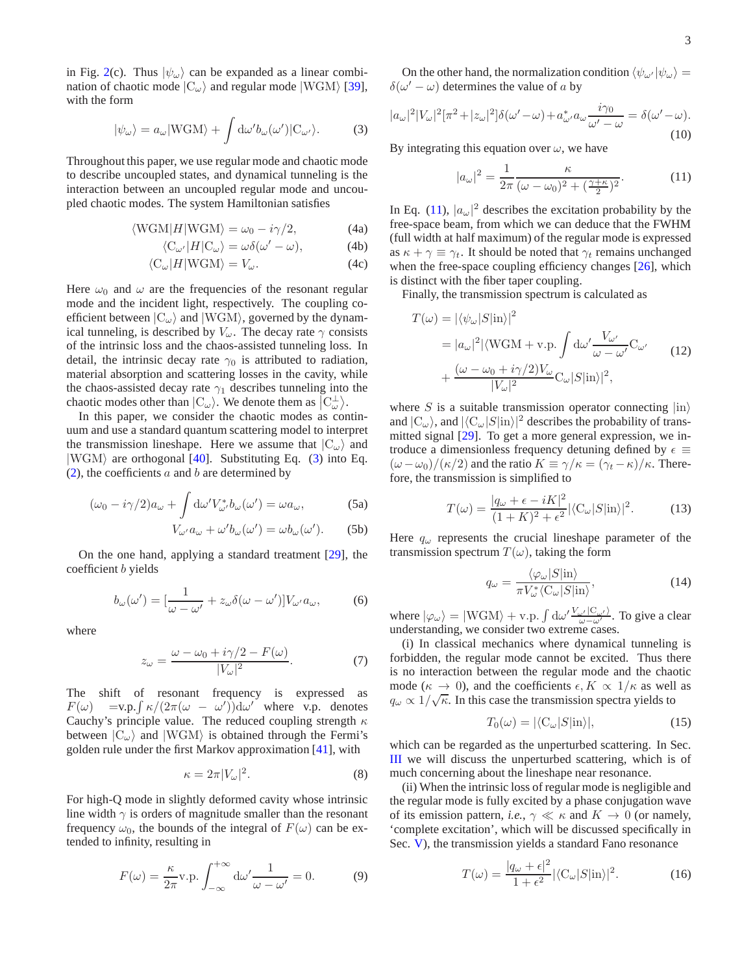in Fig. [2\(](#page-1-1)c). Thus  $|\psi_{\omega}\rangle$  can be expanded as a linear combination of chaotic mode  $|C_{\omega}\rangle$  and regular mode  $|WGM\rangle$  [\[39](#page-6-30)], with the form

<span id="page-2-0"></span>
$$
|\psi_{\omega}\rangle = a_{\omega}|\text{WGM}\rangle + \int d\omega' b_{\omega}(\omega')|\text{C}_{\omega'}\rangle. \tag{3}
$$

Throughout this paper, we use regular mode and chaotic mode to describe uncoupled states, and dynamical tunneling is the interaction between an uncoupled regular mode and uncoupled chaotic modes. The system Hamiltonian satisfies

$$
\langle \text{WGM} | H | \text{WGM} \rangle = \omega_0 - i\gamma/2, \tag{4a}
$$

$$
\langle C_{\omega'}|H|C_{\omega}\rangle = \omega \delta(\omega' - \omega),\tag{4b}
$$

$$
\langle C_{\omega}|H| \text{WGM}\rangle = V_{\omega}.\tag{4c}
$$

Here  $\omega_0$  and  $\omega$  are the frequencies of the resonant regular mode and the incident light, respectively. The coupling coefficient between  $|C_{\omega}\rangle$  and  $|WGM\rangle$ , governed by the dynamical tunneling, is described by  $V_\omega$ . The decay rate  $\gamma$  consists of the intrinsic loss and the chaos-assisted tunneling loss. In detail, the intrinsic decay rate  $\gamma_0$  is attributed to radiation, material absorption and scattering losses in the cavity, while the chaos-assisted decay rate  $\gamma_1$  describes tunneling into the chaotic modes other than  $|C_{\omega}\rangle$ . We denote them as  $|C_{\omega}^{\perp}\rangle$ .

In this paper, we consider the chaotic modes as continuum and use a standard quantum scattering model to interpret the transmission lineshape. Here we assume that  $|C_{\omega}\rangle$  and  $|WGM\rangle$  are orthogonal [\[40](#page-7-0)]. Substituting Eq. [\(3\)](#page-2-0) into Eq.  $(2)$ , the coefficients a and b are determined by

$$
(\omega_0 - i\gamma/2)a_\omega + \int d\omega' V_{\omega'}^* b_\omega(\omega') = \omega a_\omega,
$$
 (5a)

$$
V_{\omega'}a_{\omega} + \omega'b_{\omega}(\omega') = \omega b_{\omega}(\omega').
$$
 (5b)

On the one hand, applying a standard treatment [\[29](#page-6-20)], the coefficient b yields

$$
b_{\omega}(\omega') = \left[\frac{1}{\omega - \omega'} + z_{\omega}\delta(\omega - \omega')\right]V_{\omega'}a_{\omega},\tag{6}
$$

where

$$
z_{\omega} = \frac{\omega - \omega_0 + i\gamma/2 - F(\omega)}{|V_{\omega}|^2}.
$$
 (7)

The shift of resonant frequency is expressed as  $F(\omega) = \text{v.p.} \int \kappa/(2\pi(\omega - \omega')) \text{d}\omega'$  where v.p. denotes Cauchy's principle value. The reduced coupling strength  $\kappa$ between  $|C_{\omega}\rangle$  and  $|WGM\rangle$  is obtained through the Fermi's golden rule under the first Markov approximation [\[41](#page-7-1)], with

<span id="page-2-4"></span>
$$
\kappa = 2\pi |V_{\omega}|^2. \tag{8}
$$

For high-Q mode in slightly deformed cavity whose intrinsic line width  $\gamma$  is orders of magnitude smaller than the resonant frequency  $\omega_0$ , the bounds of the integral of  $F(\omega)$  can be extended to infinity, resulting in

$$
F(\omega) = \frac{\kappa}{2\pi} \text{v.p.} \int_{-\infty}^{+\infty} d\omega' \frac{1}{\omega - \omega'} = 0.
$$
 (9)

On the other hand, the normalization condition  $\langle \psi_{\omega'} | \psi_{\omega} \rangle =$  $\delta(\omega' - \omega)$  determines the value of a by

$$
|a_{\omega}|^2 |V_{\omega}|^2 [\pi^2 + |z_{\omega}|^2] \delta(\omega' - \omega) + a_{\omega'}^* a_{\omega} \frac{i\gamma_0}{\omega' - \omega} = \delta(\omega' - \omega).
$$
\n(10)

By integrating this equation over  $\omega$ , we have

<span id="page-2-1"></span>
$$
|a_{\omega}|^2 = \frac{1}{2\pi} \frac{\kappa}{(\omega - \omega_0)^2 + (\frac{\gamma + \kappa}{2})^2}.
$$
 (11)

In Eq. [\(11\)](#page-2-1),  $|a_{\omega}|^2$  describes the excitation probability by the free-space beam, from which we can deduce that the FWHM (full width at half maximum) of the regular mode is expressed as  $\kappa + \gamma \equiv \gamma_t$ . It should be noted that  $\gamma_t$  remains unchanged when the free-space coupling efficiency changes [\[26\]](#page-6-17), which is distinct with the fiber taper coupling.

Finally, the transmission spectrum is calculated as

$$
T(\omega) = |\langle \psi_{\omega} | S | \text{in} \rangle|^2
$$
  
=  $|a_{\omega}|^2 |\langle WGM + v.p. \int d\omega' \frac{V_{\omega'}}{\omega - \omega'} C_{\omega'}$  (12)  
+  $\frac{(\omega - \omega_0 + i\gamma/2) V_{\omega}}{|V_{\omega}|^2} C_{\omega} |S| \text{in} \rangle|^2$ ,

where  $S$  is a suitable transmission operator connecting  $|in\rangle$ and  $|C_{\omega}\rangle$ , and  $|\langle C_{\omega}|S|\text{in}\rangle|^2$  describes the probability of transmitted signal [\[29\]](#page-6-20). To get a more general expression, we introduce a dimensionless frequency detuning defined by  $\epsilon \equiv$  $(\omega - \omega_0)/(\kappa/2)$  and the ratio  $K = \gamma/\kappa = (\gamma_t - \kappa)/\kappa$ . Therefore, the transmission is simplified to

<span id="page-2-3"></span>
$$
T(\omega) = \frac{|q_{\omega} + \epsilon - iK|^2}{(1 + K)^2 + \epsilon^2} |\langle C_{\omega} | S | \text{in} \rangle|^2.
$$
 (13)

Here  $q_{\omega}$  represents the crucial lineshape parameter of the transmission spectrum  $T(\omega)$ , taking the form

<span id="page-2-2"></span>
$$
q_{\omega} = \frac{\langle \varphi_{\omega} | S | \text{in} \rangle}{\pi V_{\omega}^* \langle C_{\omega} | S | \text{in} \rangle},\tag{14}
$$

where  $|\varphi_{\omega}\rangle = |WGM\rangle + v.p. \int d\omega' \frac{V_{\omega'}|C_{\omega'}\rangle}{\omega - \omega'}$ . To give a clear understanding, we consider two extreme cases.

(i) In classical mechanics where dynamical tunneling is forbidden, the regular mode cannot be excited. Thus there is no interaction between the regular mode and the chaotic mode ( $\kappa \to 0$ ), and the coefficients  $\epsilon, K \propto 1/\kappa$  as well as  $q_{\omega} \propto 1/\sqrt{\kappa}$ . In this case the transmission spectra yields to

$$
T_0(\omega) = |\langle C_{\omega} | S | \text{in} \rangle|, \tag{15}
$$

which can be regarded as the unperturbed scattering. In Sec. [III](#page-3-0) we will discuss the unperturbed scattering, which is of much concerning about the lineshape near resonance.

(ii) When the intrinsic loss of regular mode is negligible and the regular mode is fully excited by a phase conjugation wave of its emission pattern, *i.e.*,  $\gamma \ll \kappa$  and  $K \to 0$  (or namely, 'complete excitation', which will be discussed specifically in Sec. [V\)](#page-4-0), the transmission yields a standard Fano resonance

$$
T(\omega) = \frac{|q_{\omega} + \epsilon|^2}{1 + \epsilon^2} |\langle C_{\omega} | S | \text{in} \rangle|^2.
$$
 (16)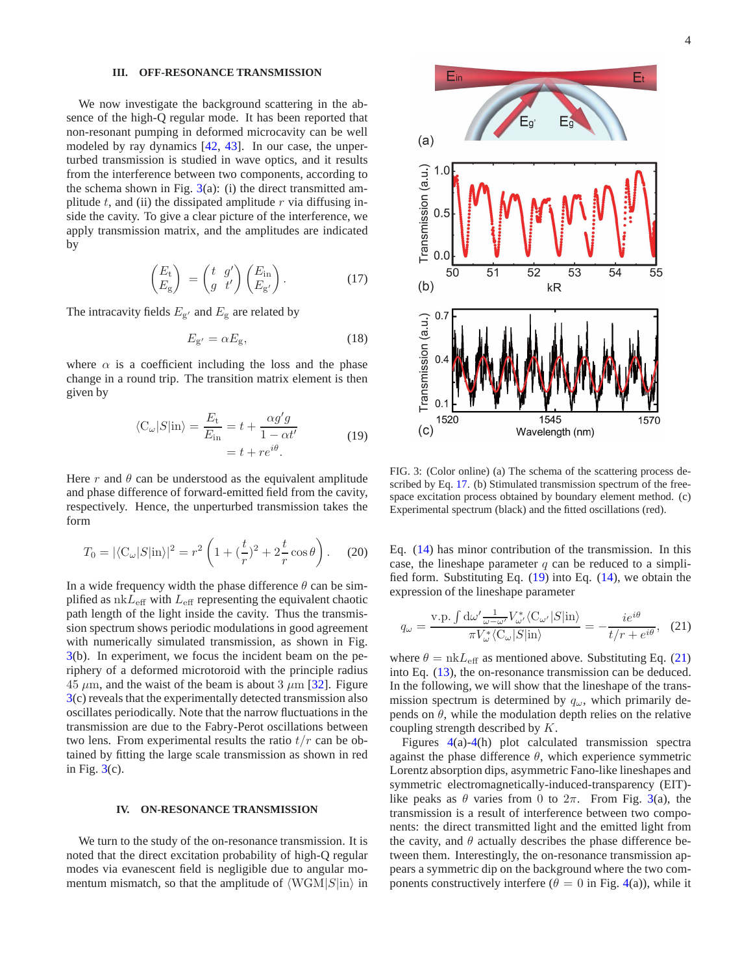## <span id="page-3-0"></span>**III. OFF-RESONANCE TRANSMISSION**

We now investigate the background scattering in the absence of the high-Q regular mode. It has been reported that non-resonant pumping in deformed microcavity can be well modeled by ray dynamics [\[42,](#page-7-2) [43\]](#page-7-3). In our case, the unperturbed transmission is studied in wave optics, and it results from the interference between two components, according to the schema shown in Fig.  $3(a)$  $3(a)$ : (i) the direct transmitted amplitude  $t$ , and (ii) the dissipated amplitude  $r$  via diffusing inside the cavity. To give a clear picture of the interference, we apply transmission matrix, and the amplitudes are indicated by

<span id="page-3-3"></span>
$$
\begin{pmatrix} E_{\rm t} \\ E_{\rm g} \end{pmatrix} = \begin{pmatrix} t & g' \\ g & t' \end{pmatrix} \begin{pmatrix} E_{\rm in} \\ E_{\rm g'} \end{pmatrix} . \tag{17}
$$

The intracavity fields  $E_{\rm g'}$  and  $E_{\rm g}$  are related by

$$
E_{\mathbf{g}'} = \alpha E_{\mathbf{g}},\tag{18}
$$

where  $\alpha$  is a coefficient including the loss and the phase change in a round trip. The transition matrix element is then given by

$$
\langle C_{\omega} | S | \text{in} \rangle = \frac{E_{t}}{E_{\text{in}}} = t + \frac{\alpha g' g}{1 - \alpha t'}
$$
  
=  $t + re^{i\theta}$ . (19)

<span id="page-3-4"></span>Here r and  $\theta$  can be understood as the equivalent amplitude and phase difference of forward-emitted field from the cavity, respectively. Hence, the unperturbed transmission takes the form

$$
T_0 = |\langle C_{\omega} | S | \text{in} \rangle|^2 = r^2 \left( 1 + \left( \frac{t}{r} \right)^2 + 2 \frac{t}{r} \cos \theta \right). \tag{20}
$$

In a wide frequency width the phase difference  $\theta$  can be simplified as  $n k L_{\text{eff}}$  with  $L_{\text{eff}}$  representing the equivalent chaotic path length of the light inside the cavity. Thus the transmission spectrum shows periodic modulations in good agreement with numerically simulated transmission, as shown in Fig. [3\(](#page-3-2)b). In experiment, we focus the incident beam on the periphery of a deformed microtoroid with the principle radius  $45 \mu m$ , and the waist of the beam is about  $3 \mu m$  [\[32\]](#page-6-24). Figure [3\(](#page-3-2)c) reveals that the experimentally detected transmission also oscillates periodically. Note that the narrow fluctuations in the transmission are due to the Fabry-Perot oscillations between two lens. From experimental results the ratio  $t/r$  can be obtained by fitting the large scale transmission as shown in red in Fig.  $3(c)$  $3(c)$ .

#### <span id="page-3-1"></span>**IV. ON-RESONANCE TRANSMISSION**

We turn to the study of the on-resonance transmission. It is noted that the direct excitation probability of high-Q regular modes via evanescent field is negligible due to angular momentum mismatch, so that the amplitude of  $\langle WGM|S|\text{in}\rangle$  in



<span id="page-3-2"></span>FIG. 3: (Color online) (a) The schema of the scattering process described by Eq. [17.](#page-3-3) (b) Stimulated transmission spectrum of the freespace excitation process obtained by boundary element method. (c) Experimental spectrum (black) and the fitted oscillations (red).

Eq. [\(14\)](#page-2-2) has minor contribution of the transmission. In this case, the lineshape parameter  $q$  can be reduced to a simplified form. Substituting Eq.  $(19)$  into Eq.  $(14)$ , we obtain the expression of the lineshape parameter

<span id="page-3-5"></span>
$$
q_{\omega} = \frac{\text{v.p.} \int \text{d}\omega' \frac{1}{\omega - \omega'} V_{\omega'}^* \langle C_{\omega'} | S | \text{in} \rangle}{\pi V_{\omega}^* \langle C_{\omega} | S | \text{in} \rangle} = -\frac{ie^{i\theta}}{t/r + e^{i\theta}}, \quad (21)
$$

where  $\theta = \text{nk}L_{\text{eff}}$  as mentioned above. Substituting Eq. [\(21\)](#page-3-5) into Eq. [\(13\)](#page-2-3), the on-resonance transmission can be deduced. In the following, we will show that the lineshape of the transmission spectrum is determined by  $q_{\omega}$ , which primarily depends on  $\theta$ , while the modulation depth relies on the relative coupling strength described by K.

Figures [4\(](#page-4-1)a)[-4\(](#page-4-1)h) plot calculated transmission spectra against the phase difference  $\theta$ , which experience symmetric Lorentz absorption dips, asymmetric Fano-like lineshapes and symmetric electromagnetically-induced-transparency (EIT) like peaks as  $\theta$  varies from 0 to  $2\pi$ . From Fig. [3\(](#page-3-2)a), the transmission is a result of interference between two components: the direct transmitted light and the emitted light from the cavity, and  $\theta$  actually describes the phase difference between them. Interestingly, the on-resonance transmission appears a symmetric dip on the background where the two components constructively interfere ( $\theta = 0$  in Fig. [4\(](#page-4-1)a)), while it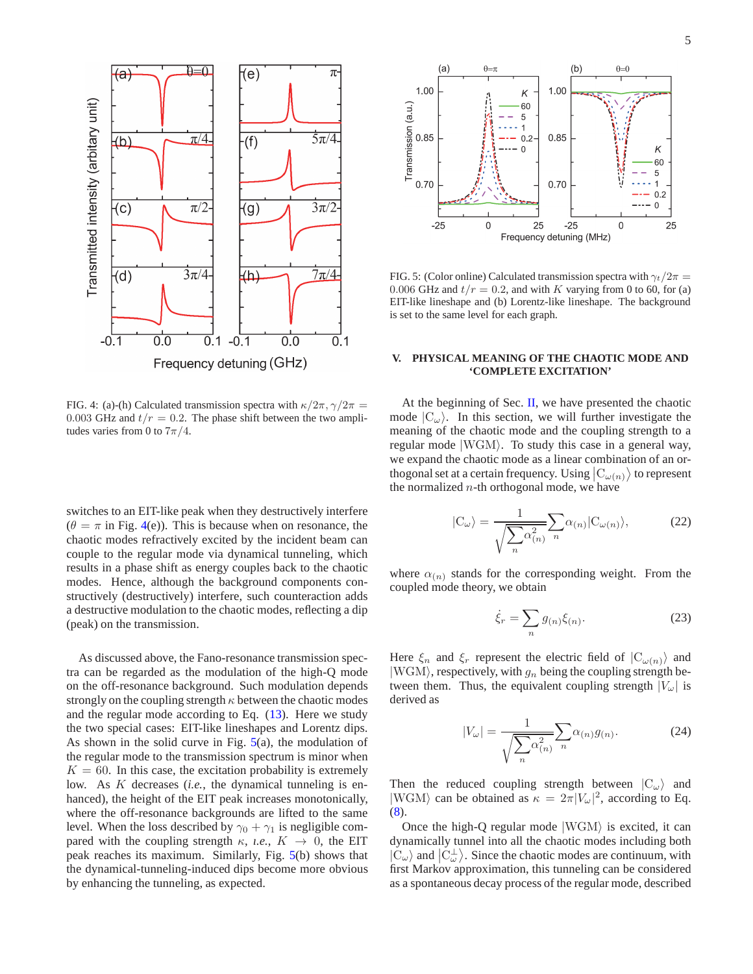



<span id="page-4-1"></span>FIG. 4: (a)-(h) Calculated transmission spectra with  $\kappa/2\pi$ ,  $\gamma/2\pi$  = 0.003 GHz and  $t/r = 0.2$ . The phase shift between the two amplitudes varies from 0 to  $7\pi/4$ .

switches to an EIT-like peak when they destructively interfere  $(\theta = \pi$  in Fig. [4\(](#page-4-1)e)). This is because when on resonance, the chaotic modes refractively excited by the incident beam can couple to the regular mode via dynamical tunneling, which results in a phase shift as energy couples back to the chaotic modes. Hence, although the background components constructively (destructively) interfere, such counteraction adds a destructive modulation to the chaotic modes, reflecting a dip (peak) on the transmission.

As discussed above, the Fano-resonance transmission spectra can be regarded as the modulation of the high-Q mode on the off-resonance background. Such modulation depends strongly on the coupling strength  $\kappa$  between the chaotic modes and the regular mode according to Eq. [\(13\)](#page-2-3). Here we study the two special cases: EIT-like lineshapes and Lorentz dips. As shown in the solid curve in Fig.  $5(a)$  $5(a)$ , the modulation of the regular mode to the transmission spectrum is minor when  $K = 60$ . In this case, the excitation probability is extremely low. As K decreases (*i.e.*, the dynamical tunneling is enhanced), the height of the EIT peak increases monotonically, where the off-resonance backgrounds are lifted to the same level. When the loss described by  $\gamma_0 + \gamma_1$  is negligible compared with the coupling strength  $\kappa$ , *i.e.*,  $K \rightarrow 0$ , the EIT peak reaches its maximum. Similarly, Fig. [5\(](#page-4-2)b) shows that the dynamical-tunneling-induced dips become more obvious by enhancing the tunneling, as expected.



<span id="page-4-2"></span>FIG. 5: (Color online) Calculated transmission spectra with  $\gamma_t/2\pi$  = 0.006 GHz and  $t/r = 0.2$ , and with K varying from 0 to 60, for (a) EIT-like lineshape and (b) Lorentz-like lineshape. The background is set to the same level for each graph.

## <span id="page-4-0"></span>**V. PHYSICAL MEANING OF THE CHAOTIC MODE AND 'COMPLETE EXCITATION'**

At the beginning of Sec. [II,](#page-0-2) we have presented the chaotic mode  $|C_{\omega}\rangle$ . In this section, we will further investigate the meaning of the chaotic mode and the coupling strength to a regular mode  $|WGM\rangle$ . To study this case in a general way, we expand the chaotic mode as a linear combination of an orthogonal set at a certain frequency. Using  $|C_{\omega(n)}\rangle$  to represent the normalized  $n$ -th orthogonal mode, we have

$$
|C_{\omega}\rangle = \frac{1}{\sqrt{\sum_{n} \alpha_{(n)}^2}} \sum_{n} \alpha_{(n)} |C_{\omega(n)}\rangle, \tag{22}
$$

where  $\alpha_{(n)}$  stands for the corresponding weight. From the coupled mode theory, we obtain

$$
\dot{\xi}_r = \sum_n g_{(n)} \xi_{(n)}.
$$
\n(23)

Here  $\xi_n$  and  $\xi_r$  represent the electric field of  $|C_{\omega(n)}\rangle$  and  $|WGM\rangle$ , respectively, with  $g_n$  being the coupling strength between them. Thus, the equivalent coupling strength  $|V_\omega|$  is derived as

$$
|V_{\omega}| = \frac{1}{\sqrt{\sum_{n} \alpha_{(n)}^2}} \sum_{n} \alpha_{(n)} g_{(n)}.
$$
 (24)

Then the reduced coupling strength between  $|C_{\omega}\rangle$  and  $|WGM\rangle$  can be obtained as  $\kappa = 2\pi |V_\omega|^2$ , according to Eq. [\(8\)](#page-2-4).

Once the high-Q regular mode  $|WGM\rangle$  is excited, it can dynamically tunnel into all the chaotic modes including both  $|C_{\omega}\rangle$  and  $|C_{\omega}^{\perp}\rangle$ . Since the chaotic modes are continuum, with first Markov approximation, this tunneling can be considered as a spontaneous decay process of the regular mode, described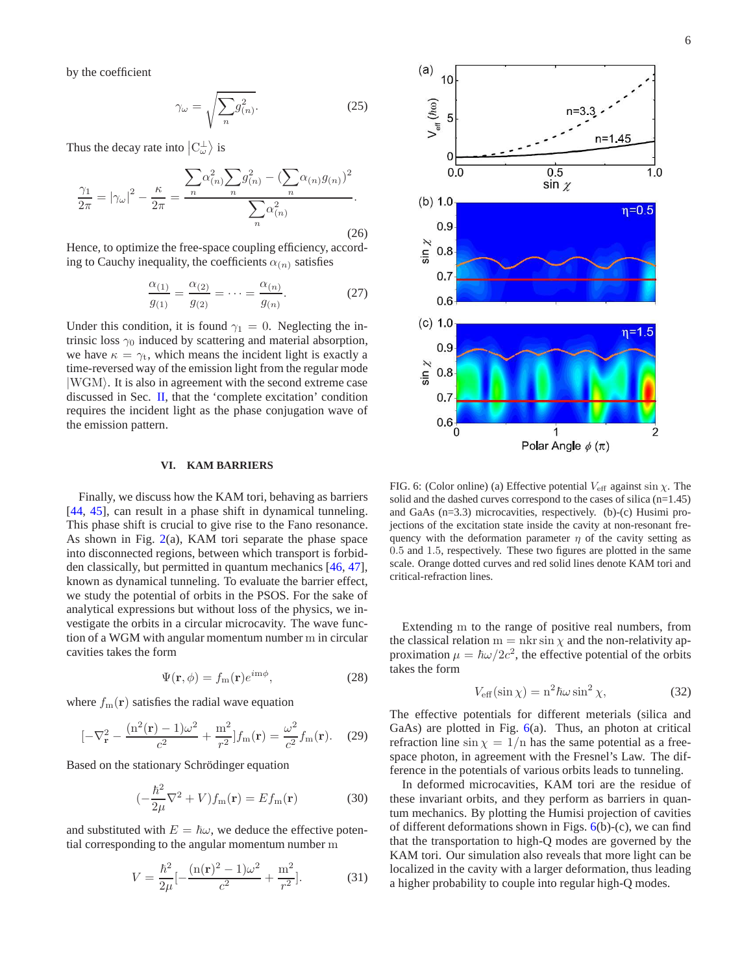by the coefficient

$$
\gamma_{\omega} = \sqrt{\sum_{n} g_{(n)}^2}.
$$
 (25)

Thus the decay rate into  $|C_{\omega}^{\perp}\rangle$  is

$$
\frac{\gamma_1}{2\pi} = |\gamma_\omega|^2 - \frac{\kappa}{2\pi} = \frac{\sum_n \alpha_{(n)}^2 \sum_n g_{(n)}^2 - (\sum_n \alpha_{(n)} g_{(n)})^2}{\sum_n \alpha_{(n)}^2}.
$$
\n(26)

Hence, to optimize the free-space coupling efficiency, according to Cauchy inequality, the coefficients  $\alpha_{(n)}$  satisfies

$$
\frac{\alpha_{(1)}}{g_{(1)}} = \frac{\alpha_{(2)}}{g_{(2)}} = \dots = \frac{\alpha_{(n)}}{g_{(n)}}.
$$
 (27)

Under this condition, it is found  $\gamma_1 = 0$ . Neglecting the intrinsic loss  $\gamma_0$  induced by scattering and material absorption, we have  $\kappa = \gamma_t$ , which means the incident light is exactly a time-reversed way of the emission light from the regular mode  $|WGM\rangle$ . It is also in agreement with the second extreme case discussed in Sec. [II,](#page-0-2) that the 'complete excitation' condition requires the incident light as the phase conjugation wave of the emission pattern.

## <span id="page-5-0"></span>**VI. KAM BARRIERS**

Finally, we discuss how the KAM tori, behaving as barriers [\[44](#page-7-4), [45](#page-7-5)], can result in a phase shift in dynamical tunneling. This phase shift is crucial to give rise to the Fano resonance. As shown in Fig.  $2(a)$  $2(a)$ , KAM tori separate the phase space into disconnected regions, between which transport is forbidden classically, but permitted in quantum mechanics [\[46](#page-7-6), [47](#page-7-7)], known as dynamical tunneling. To evaluate the barrier effect, we study the potential of orbits in the PSOS. For the sake of analytical expressions but without loss of the physics, we investigate the orbits in a circular microcavity. The wave function of a WGM with angular momentum number m in circular cavities takes the form

$$
\Psi(\mathbf{r}, \phi) = f_{\rm m}(\mathbf{r}) e^{i m \phi},\tag{28}
$$

where  $f_m(\mathbf{r})$  satisfies the radial wave equation

$$
[-\nabla_{\mathbf{r}}^{2} - \frac{(n^{2}(\mathbf{r}) - 1)\omega^{2}}{c^{2}} + \frac{m^{2}}{r^{2}}]f_{m}(\mathbf{r}) = \frac{\omega^{2}}{c^{2}}f_{m}(\mathbf{r}).
$$
 (29)

Based on the stationary Schrödinger equation

$$
\left(-\frac{\hbar^2}{2\mu}\nabla^2 + V\right)f_m(\mathbf{r}) = Ef_m(\mathbf{r})\tag{30}
$$

and substituted with  $E = \hbar \omega$ , we deduce the effective potential corresponding to the angular momentum number m

$$
V = \frac{\hbar^2}{2\mu} \left[ -\frac{(\mathbf{n}(\mathbf{r})^2 - 1)\omega^2}{c^2} + \frac{\mathbf{m}^2}{r^2} \right].
$$
 (31)



<span id="page-5-1"></span>FIG. 6: (Color online) (a) Effective potential  $V_{\text{eff}}$  against sin  $\chi$ . The solid and the dashed curves correspond to the cases of silica (n=1.45) and GaAs (n=3.3) microcavities, respectively. (b)-(c) Husimi projections of the excitation state inside the cavity at non-resonant frequency with the deformation parameter  $\eta$  of the cavity setting as 0.5 and 1.5, respectively. These two figures are plotted in the same scale. Orange dotted curves and red solid lines denote KAM tori and critical-refraction lines.

Extending m to the range of positive real numbers, from the classical relation  $m = nkr \sin \chi$  and the non-relativity approximation  $\mu = \hbar \omega / 2c^2$ , the effective potential of the orbits takes the form

$$
V_{\text{eff}}(\sin \chi) = n^2 \hbar \omega \sin^2 \chi,\tag{32}
$$

The effective potentials for different meterials (silica and GaAs) are plotted in Fig. [6\(](#page-5-1)a). Thus, an photon at critical refraction line  $\sin \chi = 1/n$  has the same potential as a freespace photon, in agreement with the Fresnel's Law. The difference in the potentials of various orbits leads to tunneling.

In deformed microcavities, KAM tori are the residue of these invariant orbits, and they perform as barriers in quantum mechanics. By plotting the Humisi projection of cavities of different deformations shown in Figs.  $6(b)-(c)$  $6(b)-(c)$ , we can find that the transportation to high-Q modes are governed by the KAM tori. Our simulation also reveals that more light can be localized in the cavity with a larger deformation, thus leading a higher probability to couple into regular high-Q modes.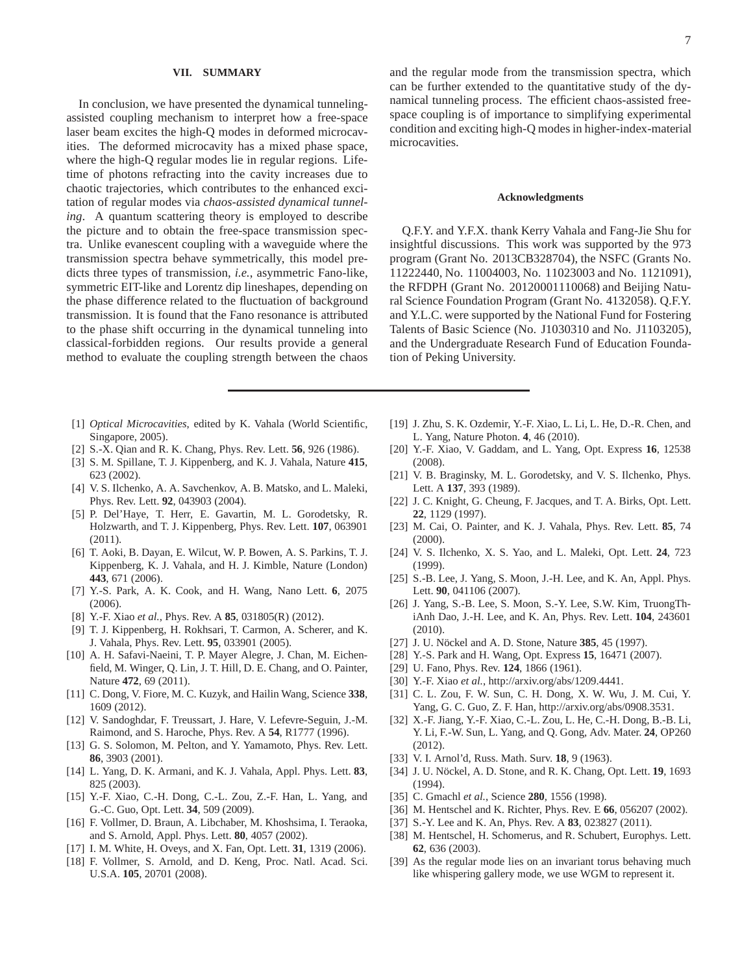#### <span id="page-6-22"></span>**VII. SUMMARY**

In conclusion, we have presented the dynamical tunnelingassisted coupling mechanism to interpret how a free-space laser beam excites the high-Q modes in deformed microcavities. The deformed microcavity has a mixed phase space, where the high-Q regular modes lie in regular regions. Lifetime of photons refracting into the cavity increases due to chaotic trajectories, which contributes to the enhanced excitation of regular modes via *chaos-assisted dynamical tunneling*. A quantum scattering theory is employed to describe the picture and to obtain the free-space transmission spectra. Unlike evanescent coupling with a waveguide where the transmission spectra behave symmetrically, this model predicts three types of transmission, *i.e.*, asymmetric Fano-like, symmetric EIT-like and Lorentz dip lineshapes, depending on the phase difference related to the fluctuation of background transmission. It is found that the Fano resonance is attributed to the phase shift occurring in the dynamical tunneling into classical-forbidden regions. Our results provide a general method to evaluate the coupling strength between the chaos

- <span id="page-6-0"></span>[1] *Optical Microcavities*, edited by K. Vahala (World Scientific, Singapore, 2005).
- <span id="page-6-1"></span>[2] S.-X. Qian and R. K. Chang, Phys. Rev. Lett. **56**, 926 (1986).
- [3] S. M. Spillane, T. J. Kippenberg, and K. J. Vahala, Nature **415**, 623 (2002).
- <span id="page-6-15"></span>[4] V. S. Ilchenko, A. A. Savchenkov, A. B. Matsko, and L. Maleki, Phys. Rev. Lett. **92**, 043903 (2004).
- <span id="page-6-2"></span>[5] P. Del'Haye, T. Herr, E. Gavartin, M. L. Gorodetsky, R. Holzwarth, and T. J. Kippenberg, Phys. Rev. Lett. **107**, 063901 (2011).
- <span id="page-6-3"></span>[6] T. Aoki, B. Dayan, E. Wilcut, W. P. Bowen, A. S. Parkins, T. J. Kippenberg, K. J. Vahala, and H. J. Kimble, Nature (London) **443**, 671 (2006).
- [7] Y.-S. Park, A. K. Cook, and H. Wang, Nano Lett. **6**, 2075 (2006).
- <span id="page-6-4"></span>[8] Y.-F. Xiao *et al.*, Phys. Rev. A **85**, 031805(R) (2012).
- <span id="page-6-5"></span>[9] T. J. Kippenberg, H. Rokhsari, T. Carmon, A. Scherer, and K. J. Vahala, Phys. Rev. Lett. **95**, 033901 (2005).
- [10] A. H. Safavi-Naeini, T. P. Mayer Alegre, J. Chan, M. Eichenfield, M. Winger, Q. Lin, J. T. Hill, D. E. Chang, and O. Painter, Nature **472**, 69 (2011).
- <span id="page-6-6"></span>[11] C. Dong, V. Fiore, M. C. Kuzyk, and Hailin Wang, Science **338**, 1609 (2012).
- <span id="page-6-7"></span>[12] V. Sandoghdar, F. Treussart, J. Hare, V. Lefevre-Seguin, J.-M. Raimond, and S. Haroche, Phys. Rev. A **54**, R1777 (1996).
- [13] G. S. Solomon, M. Pelton, and Y. Yamamoto, Phys. Rev. Lett. **86**, 3903 (2001).
- [14] L. Yang, D. K. Armani, and K. J. Vahala, Appl. Phys. Lett. **83**, 825 (2003).
- <span id="page-6-8"></span>[15] Y.-F. Xiao, C.-H. Dong, C.-L. Zou, Z.-F. Han, L. Yang, and G.-C. Guo, Opt. Lett. **34**, 509 (2009).
- <span id="page-6-9"></span>[16] F. Vollmer, D. Braun, A. Libchaber, M. Khoshsima, I. Teraoka, and S. Arnold, Appl. Phys. Lett. **80**, 4057 (2002).
- [17] I. M. White, H. Oveys, and X. Fan, Opt. Lett. **31**, 1319 (2006).
- [18] F. Vollmer, S. Arnold, and D. Keng, Proc. Natl. Acad. Sci. U.S.A. **105**, 20701 (2008).

and the regular mode from the transmission spectra, which can be further extended to the quantitative study of the dynamical tunneling process. The efficient chaos-assisted freespace coupling is of importance to simplifying experimental condition and exciting high-Q modes in higher-index-material microcavities.

#### **Acknowledgments**

Q.F.Y. and Y.F.X. thank Kerry Vahala and Fang-Jie Shu for insightful discussions. This work was supported by the 973 program (Grant No. 2013CB328704), the NSFC (Grants No. 11222440, No. 11004003, No. 11023003 and No. 1121091), the RFDPH (Grant No. 20120001110068) and Beijing Natural Science Foundation Program (Grant No. 4132058). Q.F.Y. and Y.L.C. were supported by the National Fund for Fostering Talents of Basic Science (No. J1030310 and No. J1103205), and the Undergraduate Research Fund of Education Foundation of Peking University.

- [19] J. Zhu, S. K. Ozdemir, Y.-F. Xiao, L. Li, L. He, D.-R. Chen, and L. Yang, Nature Photon. **4**, 46 (2010).
- <span id="page-6-10"></span>[20] Y.-F. Xiao, V. Gaddam, and L. Yang, Opt. Express **16**, 12538 (2008).
- <span id="page-6-11"></span>[21] V. B. Braginsky, M. L. Gorodetsky, and V. S. Ilchenko, Phys. Lett. A **137**, 393 (1989).
- <span id="page-6-12"></span>[22] J. C. Knight, G. Cheung, F. Jacques, and T. A. Birks, Opt. Lett. **22**, 1129 (1997).
- <span id="page-6-13"></span>[23] M. Cai, O. Painter, and K. J. Vahala, Phys. Rev. Lett. **85**, 74 (2000).
- <span id="page-6-14"></span>[24] V. S. Ilchenko, X. S. Yao, and L. Maleki, Opt. Lett. **24**, 723 (1999).
- <span id="page-6-16"></span>[25] S.-B. Lee, J. Yang, S. Moon, J.-H. Lee, and K. An, Appl. Phys. Lett. **90**, 041106 (2007).
- <span id="page-6-17"></span>[26] J. Yang, S.-B. Lee, S. Moon, S.-Y. Lee, S.W. Kim, TruongThiAnh Dao, J.-H. Lee, and K. An, Phys. Rev. Lett. **104**, 243601 (2010).
- <span id="page-6-18"></span>[27] J. U. Nöckel and A. D. Stone, Nature 385, 45 (1997).
- <span id="page-6-19"></span>[28] Y.-S. Park and H. Wang, Opt. Express **15**, 16471 (2007).
- <span id="page-6-20"></span>[29] U. Fano, Phys. Rev. **124**, 1866 (1961).
- <span id="page-6-21"></span>[30] Y.-F. Xiao *et al.*, http://arxiv.org/abs/1209.4441.
- <span id="page-6-23"></span>[31] C. L. Zou, F. W. Sun, C. H. Dong, X. W. Wu, J. M. Cui, Y. Yang, G. C. Guo, Z. F. Han, http://arxiv.org/abs/0908.3531.
- <span id="page-6-24"></span>[32] X.-F. Jiang, Y.-F. Xiao, C.-L. Zou, L. He, C.-H. Dong, B.-B. Li, Y. Li, F.-W. Sun, L. Yang, and Q. Gong, Adv. Mater. **24**, OP260 (2012).
- <span id="page-6-25"></span>[33] V. I. Arnol'd, Russ. Math. Surv. **18**, 9 (1963).
- <span id="page-6-26"></span>[34] J. U. Nöckel, A. D. Stone, and R. K. Chang, Opt. Lett. **19**, 1693 (1994).
- [35] C. Gmachl *et al.*, Science **280**, 1556 (1998).
- <span id="page-6-27"></span>[36] M. Hentschel and K. Richter, Phys. Rev. E **66**, 056207 (2002).
- <span id="page-6-28"></span>[37] S.-Y. Lee and K. An, Phys. Rev. A **83**, 023827 (2011).
- <span id="page-6-29"></span>[38] M. Hentschel, H. Schomerus, and R. Schubert, Europhys. Lett. **62**, 636 (2003).
- <span id="page-6-30"></span>[39] As the regular mode lies on an invariant torus behaving much like whispering gallery mode, we use WGM to represent it.